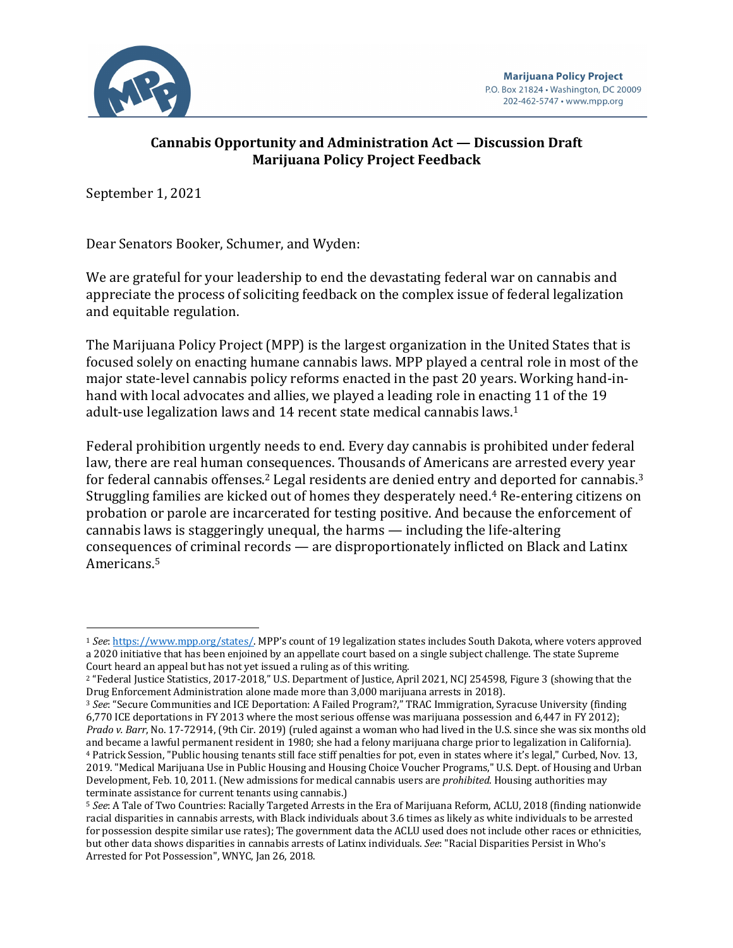

# **Cannabis Opportunity and Administration Act — Discussion Draft Marijuana Policy Project Feedback**

September 1, 2021

Dear Senators Booker, Schumer, and Wyden:

We are grateful for your leadership to end the devastating federal war on cannabis and appreciate the process of soliciting feedback on the complex issue of federal legalization and equitable regulation.

The Marijuana Policy Project (MPP) is the largest organization in the United States that is focused solely on enacting humane cannabis laws. MPP played a central role in most of the major state-level cannabis policy reforms enacted in the past 20 years. Working hand-inhand with local advocates and allies, we played a leading role in enacting 11 of the 19 adult-use legalization laws and 14 recent state medical cannabis laws.<sup>1</sup>

Federal prohibition urgently needs to end. Every day cannabis is prohibited under federal law, there are real human consequences. Thousands of Americans are arrested every year for federal cannabis offenses.<sup>2</sup> Legal residents are denied entry and deported for cannabis.<sup>3</sup> Struggling families are kicked out of homes they desperately need.<sup>4</sup> Re-entering citizens on probation or parole are incarcerated for testing positive. And because the enforcement of cannabis laws is staggeringly unequal, the harms — including the life-altering consequences of criminal records — are disproportionately inflicted on Black and Latinx Americans.5

<sup>1</sup> See: https://www.mpp.org/states/. MPP's count of 19 legalization states includes South Dakota, where voters approved a 2020 initiative that has been enjoined by an appellate court based on a single subject challenge. The state Supreme Court heard an appeal but has not yet issued a ruling as of this writing.

<sup>&</sup>lt;sup>2</sup> "Federal Justice Statistics, 2017-2018," U.S. Department of Justice, April 2021, NCJ 254598, Figure 3 (showing that the Drug Enforcement Administration alone made more than 3,000 marijuana arrests in 2018).

<sup>&</sup>lt;sup>3</sup> See: "Secure Communities and ICE Deportation: A Failed Program?," TRAC Immigration, Syracuse University (finding 6,770 ICE deportations in FY 2013 where the most serious offense was marijuana possession and 6,447 in FY 2012); *Prado* v. Barr, No. 17-72914, (9th Cir. 2019) (ruled against a woman who had lived in the U.S. since she was six months old and became a lawful permanent resident in 1980; she had a felony marijuana charge prior to legalization in California). <sup>4</sup> Patrick Session, "Public housing tenants still face stiff penalties for pot, even in states where it's legal," Curbed, Nov. 13, 2019. "Medical Marijuana Use in Public Housing and Housing Choice Voucher Programs," U.S. Dept. of Housing and Urban Development, Feb. 10, 2011. (New admissions for medical cannabis users are *prohibited*. Housing authorities may terminate assistance for current tenants using cannabis.)

<sup>&</sup>lt;sup>5</sup> See: A Tale of Two Countries: Racially Targeted Arrests in the Era of Marijuana Reform, ACLU, 2018 (finding nationwide racial disparities in cannabis arrests, with Black individuals about 3.6 times as likely as white individuals to be arrested for possession despite similar use rates); The government data the ACLU used does not include other races or ethnicities, but other data shows disparities in cannabis arrests of Latinx individuals. See: "Racial Disparities Persist in Who's Arrested for Pot Possession", WNYC, Jan 26, 2018.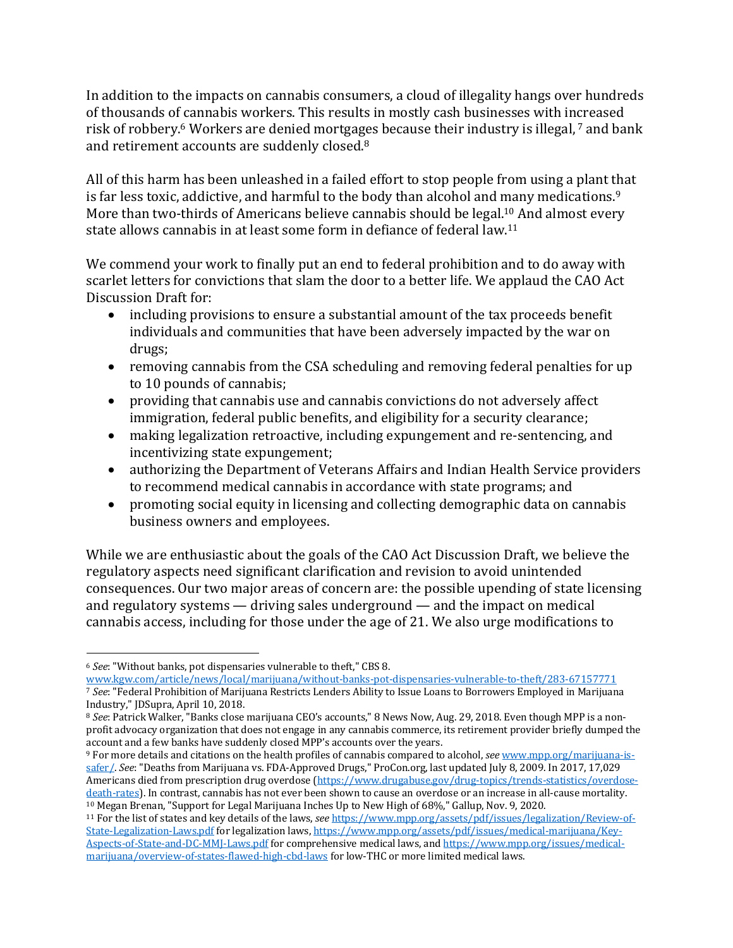In addition to the impacts on cannabis consumers, a cloud of illegality hangs over hundreds of thousands of cannabis workers. This results in mostly cash businesses with increased risk of robbery.<sup>6</sup> Workers are denied mortgages because their industry is illegal, <sup>7</sup> and bank and retirement accounts are suddenly closed.<sup>8</sup>

All of this harm has been unleashed in a failed effort to stop people from using a plant that is far less toxic, addictive, and harmful to the body than alcohol and many medications.<sup>9</sup> More than two-thirds of Americans believe cannabis should be legal.<sup>10</sup> And almost every state allows cannabis in at least some form in defiance of federal law.<sup>11</sup>

We commend your work to finally put an end to federal prohibition and to do away with scarlet letters for convictions that slam the door to a better life. We applaud the CAO Act Discussion Draft for:

- including provisions to ensure a substantial amount of the tax proceeds benefit individuals and communities that have been adversely impacted by the war on drugs;
- removing cannabis from the CSA scheduling and removing federal penalties for up to 10 pounds of cannabis;
- providing that cannabis use and cannabis convictions do not adversely affect immigration, federal public benefits, and eligibility for a security clearance;
- making legalization retroactive, including expungement and re-sentencing, and incentivizing state expungement;
- authorizing the Department of Veterans Affairs and Indian Health Service providers to recommend medical cannabis in accordance with state programs; and
- promoting social equity in licensing and collecting demographic data on cannabis business owners and employees.

While we are enthusiastic about the goals of the CAO Act Discussion Draft, we believe the regulatory aspects need significant clarification and revision to avoid unintended consequences. Our two major areas of concern are: the possible upending of state licensing and regulatory systems  $-$  driving sales underground  $-$  and the impact on medical cannabis access, including for those under the age of 21. We also urge modifications to

<sup>&</sup>lt;sup>6</sup> See: "Without banks, pot dispensaries vulnerable to theft," CBS 8.

www.kgw.com/article/news/local/marijuana/without-banks-pot-dispensaries-vulnerable-to-theft/283-67157771 7 See: "Federal Prohibition of Marijuana Restricts Lenders Ability to Issue Loans to Borrowers Employed in Marijuana Industry," JDSupra, April 10, 2018.

<sup>&</sup>lt;sup>8</sup> See: Patrick Walker, "Banks close marijuana CEO's accounts," 8 News Now, Aug. 29, 2018. Even though MPP is a nonprofit advocacy organization that does not engage in any cannabis commerce, its retirement provider briefly dumped the account and a few banks have suddenly closed MPP's accounts over the years.

<sup>9</sup> For more details and citations on the health profiles of cannabis compared to alcohol, *see* www.mpp.org/marijuana-issafer/. See: "Deaths from Marijuana vs. FDA-Approved Drugs," ProCon.org, last updated July 8, 2009. In 2017, 17,029 Americans died from prescription drug overdose (https://www.drugabuse.gov/drug-topics/trends-statistics/overdosedeath-rates). In contrast, cannabis has not ever been shown to cause an overdose or an increase in all-cause mortality.  $10$  Megan Brenan, "Support for Legal Marijuana Inches Up to New High of 68%," Gallup, Nov. 9, 2020.

<sup>11</sup> For the list of states and key details of the laws, see https://www.mpp.org/assets/pdf/issues/legalization/Review-of-State-Legalization-Laws.pdf for legalization laws, https://www.mpp.org/assets/pdf/issues/medical-marijuana/Key-Aspects-of-State-and-DC-MMJ-Laws.pdf for comprehensive medical laws, and https://www.mpp.org/issues/medicalmarijuana/overview-of-states-flawed-high-cbd-laws for low-THC or more limited medical laws.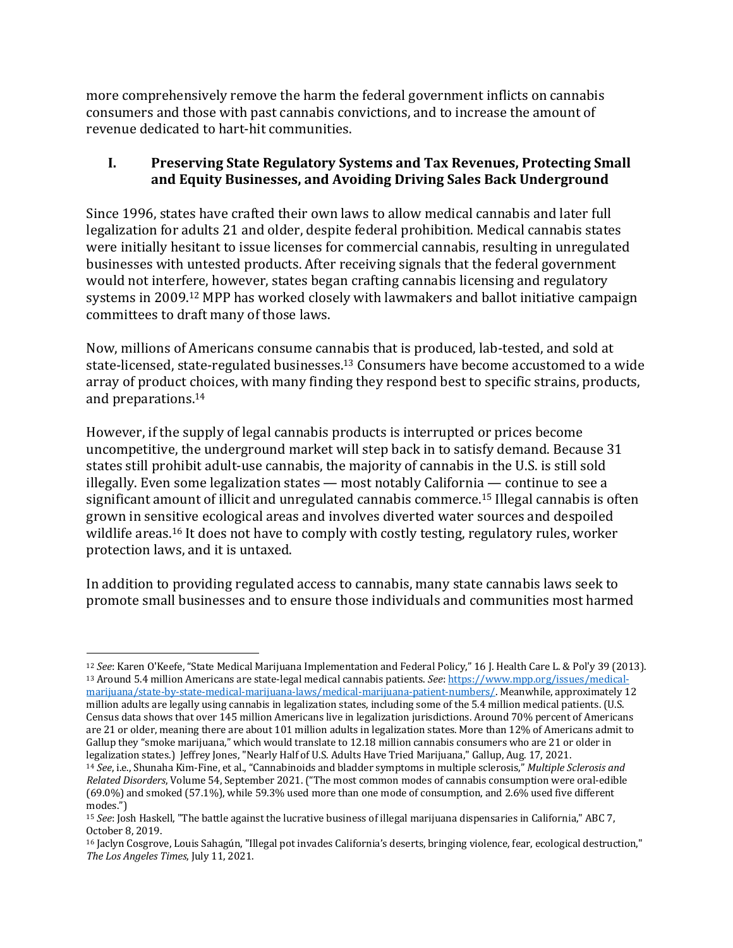more comprehensively remove the harm the federal government inflicts on cannabis consumers and those with past cannabis convictions, and to increase the amount of revenue dedicated to hart-hit communities.

## **I. Preserving State Regulatory Systems and Tax Revenues, Protecting Small**  and Equity Businesses, and Avoiding Driving Sales Back Underground

Since 1996, states have crafted their own laws to allow medical cannabis and later full legalization for adults 21 and older, despite federal prohibition. Medical cannabis states were initially hesitant to issue licenses for commercial cannabis, resulting in unregulated businesses with untested products. After receiving signals that the federal government would not interfere, however, states began crafting cannabis licensing and regulatory systems in 2009.<sup>12</sup> MPP has worked closely with lawmakers and ballot initiative campaign committees to draft many of those laws.

Now, millions of Americans consume cannabis that is produced, lab-tested, and sold at state-licensed, state-regulated businesses.<sup>13</sup> Consumers have become accustomed to a wide array of product choices, with many finding they respond best to specific strains, products, and preparations.<sup>14</sup>

However, if the supply of legal cannabis products is interrupted or prices become uncompetitive, the underground market will step back in to satisfy demand. Because 31 states still prohibit adult-use cannabis, the majority of cannabis in the U.S. is still sold illegally. Even some legalization states  $-$  most notably California  $-$  continue to see a significant amount of illicit and unregulated cannabis commerce.<sup>15</sup> Illegal cannabis is often grown in sensitive ecological areas and involves diverted water sources and despoiled wildlife areas.<sup>16</sup> It does not have to comply with costly testing, regulatory rules, worker protection laws, and it is untaxed.

In addition to providing regulated access to cannabis, many state cannabis laws seek to promote small businesses and to ensure those individuals and communities most harmed

<sup>&</sup>lt;sup>12</sup> See: Karen O'Keefe, "State Medical Marijuana Implementation and Federal Policy," 16 J. Health Care L. & Pol'y 39 (2013). 13 Around 5.4 million Americans are state-legal medical cannabis patients. *See*: https://www.mpp.org/issues/medicalmarijuana/state-by-state-medical-marijuana-laws/medical-marijuana-patient-numbers/. Meanwhile, approximately 12 million adults are legally using cannabis in legalization states, including some of the 5.4 million medical patients. (U.S. Census data shows that over 145 million Americans live in legalization jurisdictions. Around 70% percent of Americans are 21 or older, meaning there are about 101 million adults in legalization states. More than 12% of Americans admit to Gallup they "smoke marijuana," which would translate to 12.18 million cannabis consumers who are 21 or older in legalization states.) Jeffrey Jones, "Nearly Half of U.S. Adults Have Tried Marijuana," Gallup, Aug. 17, 2021.

<sup>&</sup>lt;sup>14</sup> See, i.e., Shunaha Kim-Fine, et al., "Cannabinoids and bladder symptoms in multiple sclerosis," *Multiple Sclerosis and Related Disorders*, Volume 54, September 2021. ("The most common modes of cannabis consumption were oral-edible  $(69.0\%)$  and smoked  $(57.1\%)$ , while  $59.3\%$  used more than one mode of consumption, and 2.6% used five different modes.")

<sup>&</sup>lt;sup>15</sup> *See*: Josh Haskell, "The battle against the lucrative business of illegal marijuana dispensaries in California," ABC 7, October 8, 2019.

<sup>16</sup> Jaclyn Cosgrove, Louis Sahagún, "Illegal pot invades California's deserts, bringing violence, fear, ecological destruction," The Los Angeles Times, July 11, 2021.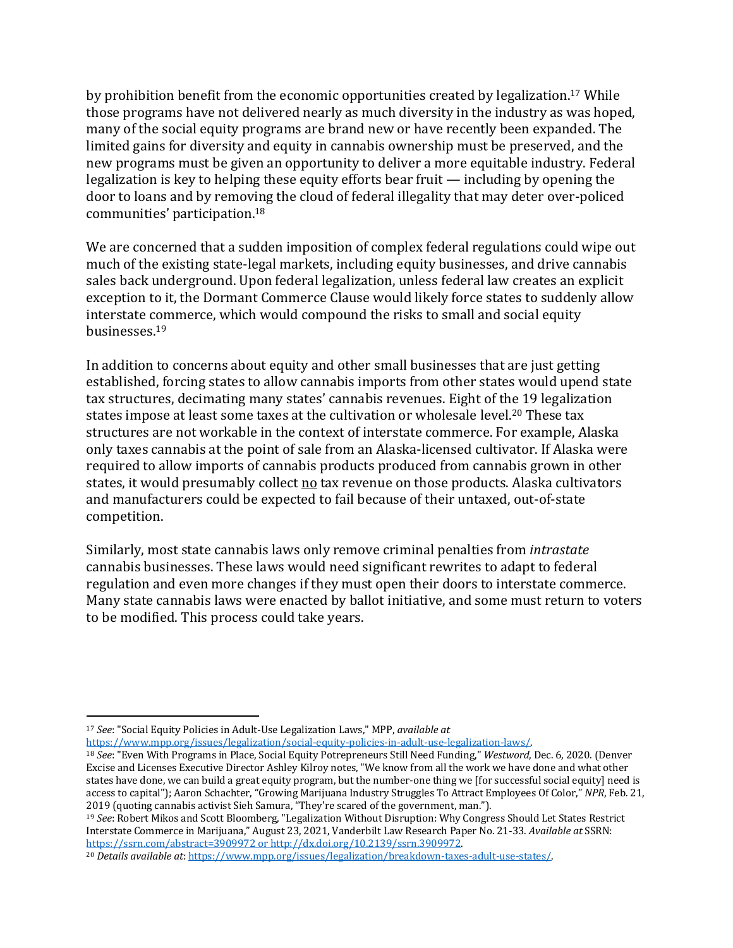by prohibition benefit from the economic opportunities created by legalization.<sup>17</sup> While those programs have not delivered nearly as much diversity in the industry as was hoped, many of the social equity programs are brand new or have recently been expanded. The limited gains for diversity and equity in cannabis ownership must be preserved, and the new programs must be given an opportunity to deliver a more equitable industry. Federal legalization is key to helping these equity efforts bear fruit  $-$  including by opening the door to loans and by removing the cloud of federal illegality that may deter over-policed communities' participation.18

We are concerned that a sudden imposition of complex federal regulations could wipe out much of the existing state-legal markets, including equity businesses, and drive cannabis sales back underground. Upon federal legalization, unless federal law creates an explicit exception to it, the Dormant Commerce Clause would likely force states to suddenly allow interstate commerce, which would compound the risks to small and social equity businesses.19

In addition to concerns about equity and other small businesses that are just getting established, forcing states to allow cannabis imports from other states would upend state tax structures, decimating many states' cannabis revenues. Eight of the 19 legalization states impose at least some taxes at the cultivation or wholesale level.<sup>20</sup> These tax structures are not workable in the context of interstate commerce. For example, Alaska only taxes cannabis at the point of sale from an Alaska-licensed cultivator. If Alaska were required to allow imports of cannabis products produced from cannabis grown in other states, it would presumably collect no tax revenue on those products. Alaska cultivators and manufacturers could be expected to fail because of their untaxed, out-of-state competition. 

Similarly, most state cannabis laws only remove criminal penalties from *intrastate* cannabis businesses. These laws would need significant rewrites to adapt to federal regulation and even more changes if they must open their doors to interstate commerce. Many state cannabis laws were enacted by ballot initiative, and some must return to voters to be modified. This process could take years.

<sup>&</sup>lt;sup>17</sup> *See*: "Social Equity Policies in Adult-Use Legalization Laws," MPP, *available at* 

https://www.mpp.org/issues/legalization/social-equity-policies-in-adult-use-legalization-laws/.

<sup>&</sup>lt;sup>18</sup> See: "Even With Programs in Place, Social Equity Potrepreneurs Still Need Funding," Westword, Dec. 6, 2020. (Denver Excise and Licenses Executive Director Ashley Kilroy notes, "We know from all the work we have done and what other states have done, we can build a great equity program, but the number-one thing we [for successful social equity] need is access to capital"); Aaron Schachter, "Growing Marijuana Industry Struggles To Attract Employees Of Color," NPR, Feb. 21, 2019 (quoting cannabis activist Sieh Samura, "They're scared of the government, man.").

<sup>&</sup>lt;sup>19</sup> See: Robert Mikos and Scott Bloomberg, "Legalization Without Disruption: Why Congress Should Let States Restrict Interstate Commerce in Marijuana," August 23, 2021, Vanderbilt Law Research Paper No. 21-33. Available at SSRN: https://ssrn.com/abstract=3909972 or http://dx.doi.org/10.2139/ssrn.3909972.

<sup>&</sup>lt;sup>20</sup> *Details available at: https://www.mpp.org/issues/legalization/breakdown-taxes-adult-use-states/.*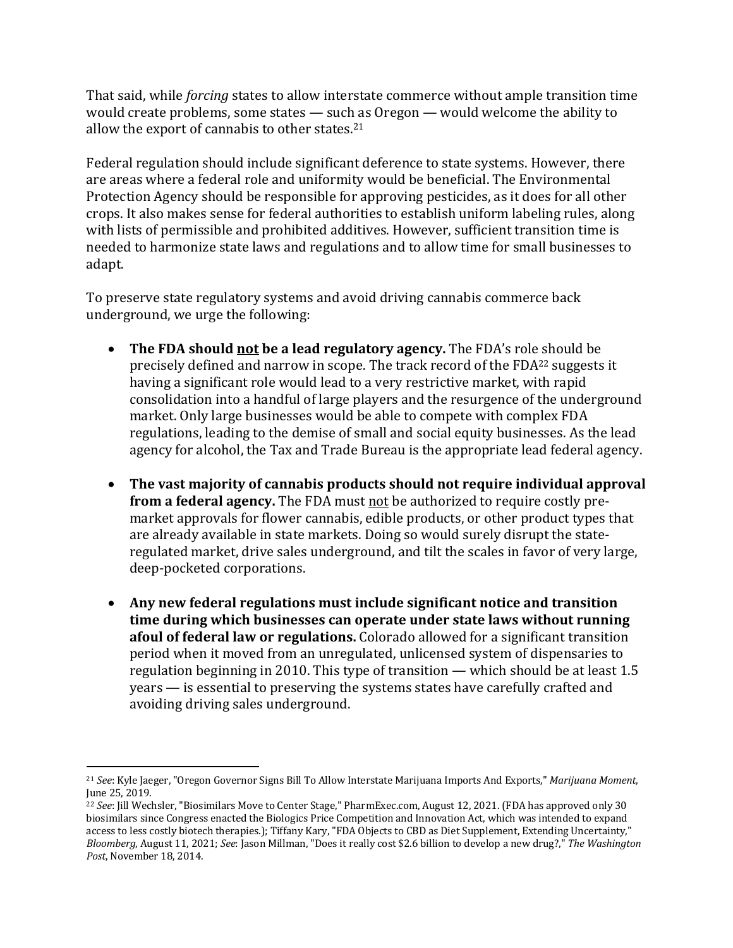That said, while *forcing* states to allow interstate commerce without ample transition time would create problems, some states  $-$  such as Oregon  $-$  would welcome the ability to allow the export of cannabis to other states. $21$ 

Federal regulation should include significant deference to state systems. However, there are areas where a federal role and uniformity would be beneficial. The Environmental Protection Agency should be responsible for approving pesticides, as it does for all other crops. It also makes sense for federal authorities to establish uniform labeling rules, along with lists of permissible and prohibited additives. However, sufficient transition time is needed to harmonize state laws and regulations and to allow time for small businesses to adapt. 

To preserve state regulatory systems and avoid driving cannabis commerce back underground, we urge the following:

- The FDA should not be a lead regulatory agency. The FDA's role should be precisely defined and narrow in scope. The track record of the FDA<sup>22</sup> suggests it having a significant role would lead to a very restrictive market, with rapid consolidation into a handful of large players and the resurgence of the underground market. Only large businesses would be able to compete with complex FDA regulations, leading to the demise of small and social equity businesses. As the lead agency for alcohol, the Tax and Trade Bureau is the appropriate lead federal agency.
- The vast majority of cannabis products should not require individual approval **from a federal agency.** The FDA must not be authorized to require costly premarket approvals for flower cannabis, edible products, or other product types that are already available in state markets. Doing so would surely disrupt the stateregulated market, drive sales underground, and tilt the scales in favor of very large, deep-pocketed corporations.
- Any new federal regulations must include significant notice and transition time during which businesses can operate under state laws without running **afoul of federal law or regulations.** Colorado allowed for a significant transition period when it moved from an unregulated, unlicensed system of dispensaries to regulation beginning in 2010. This type of transition — which should be at least  $1.5$  $years - is essential to preserving the systems states have carefully craffed and$ avoiding driving sales underground.

<sup>&</sup>lt;sup>21</sup> *See*: Kyle Jaeger, "Oregon Governor Signs Bill To Allow Interstate Marijuana Imports And Exports," *Marijuana Moment*, June 25, 2019.

<sup>&</sup>lt;sup>22</sup> *See*: [ill Wechsler, "Biosimilars Move to Center Stage," PharmExec.com, August 12, 2021. (FDA has approved only 30 biosimilars since Congress enacted the Biologics Price Competition and Innovation Act, which was intended to expand access to less costly biotech therapies.); Tiffany Kary, "FDA Objects to CBD as Diet Supplement, Extending Uncertainty," *Bloomberg*, August 11, 2021; *See*: Jason Millman, "Does it really cost \$2.6 billion to develop a new drug?," The Washington Post, November 18, 2014.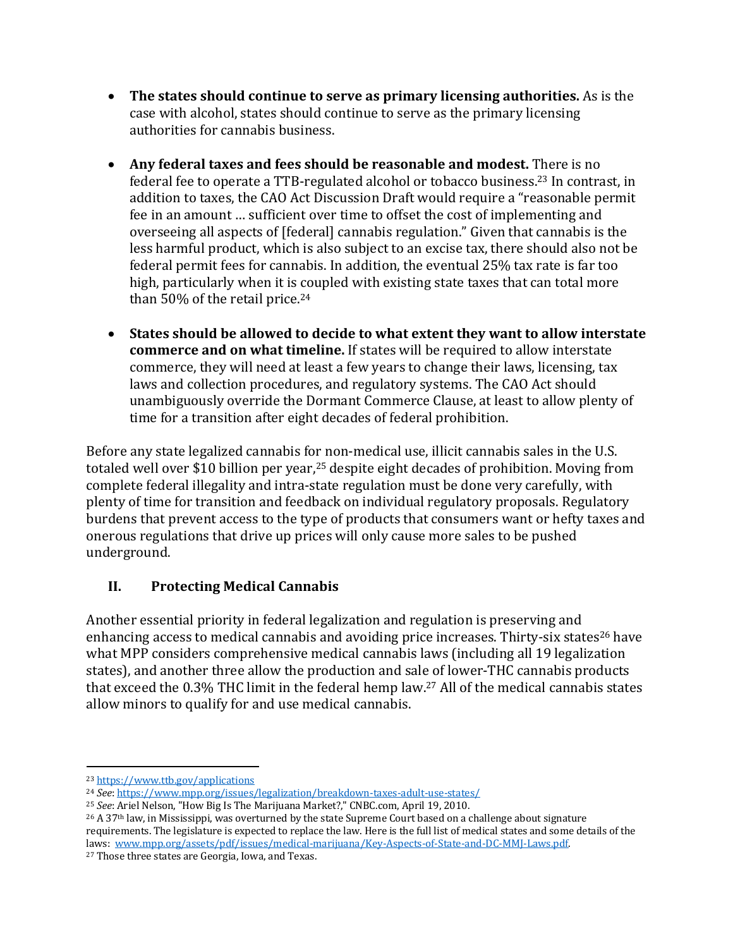- The states should continue to serve as primary licensing authorities. As is the case with alcohol, states should continue to serve as the primary licensing authorities for cannabis business.
- Any federal taxes and fees should be reasonable and modest. There is no federal fee to operate a TTB-regulated alcohol or tobacco business.<sup>23</sup> In contrast, in addition to taxes, the CAO Act Discussion Draft would require a "reasonable permit fee in an amount ... sufficient over time to offset the cost of implementing and overseeing all aspects of [federal] cannabis regulation." Given that cannabis is the less harmful product, which is also subject to an excise tax, there should also not be federal permit fees for cannabis. In addition, the eventual 25% tax rate is far too high, particularly when it is coupled with existing state taxes that can total more than  $50\%$  of the retail price.<sup>24</sup>
- States should be allowed to decide to what extent they want to allow interstate **commerce and on what timeline.** If states will be required to allow interstate commerce, they will need at least a few years to change their laws, licensing, tax laws and collection procedures, and regulatory systems. The CAO Act should unambiguously override the Dormant Commerce Clause, at least to allow plenty of time for a transition after eight decades of federal prohibition.

Before any state legalized cannabis for non-medical use, illicit cannabis sales in the U.S. totaled well over \$10 billion per year,<sup>25</sup> despite eight decades of prohibition. Moving from complete federal illegality and intra-state regulation must be done very carefully, with plenty of time for transition and feedback on individual regulatory proposals. Regulatory burdens that prevent access to the type of products that consumers want or hefty taxes and onerous regulations that drive up prices will only cause more sales to be pushed underground. 

# **II.** Protecting Medical Cannabis

Another essential priority in federal legalization and regulation is preserving and enhancing access to medical cannabis and avoiding price increases. Thirty-six states<sup>26</sup> have what MPP considers comprehensive medical cannabis laws (including all 19 legalization states), and another three allow the production and sale of lower-THC cannabis products that exceed the  $0.3\%$  THC limit in the federal hemp law.<sup>27</sup> All of the medical cannabis states allow minors to qualify for and use medical cannabis.

<sup>25</sup> *See*: Ariel Nelson, "How Big Is The Marijuana Market?," CNBC.com, April 19, 2010.

<sup>26</sup> A 37<sup>th</sup> law, in Mississippi, was overturned by the state Supreme Court based on a challenge about signature requirements. The legislature is expected to replace the law. Here is the full list of medical states and some details of the laws: www.mpp.org/assets/pdf/issues/medical-marijuana/Key-Aspects-of-State-and-DC-MMJ-Laws.pdf.

<sup>27</sup> Those three states are Georgia, Iowa, and Texas.

<sup>23</sup> https://www.ttb.gov/applications

<sup>&</sup>lt;sup>24</sup> *See*: https://www.mpp.org/issues/legalization/breakdown-taxes-adult-use-states/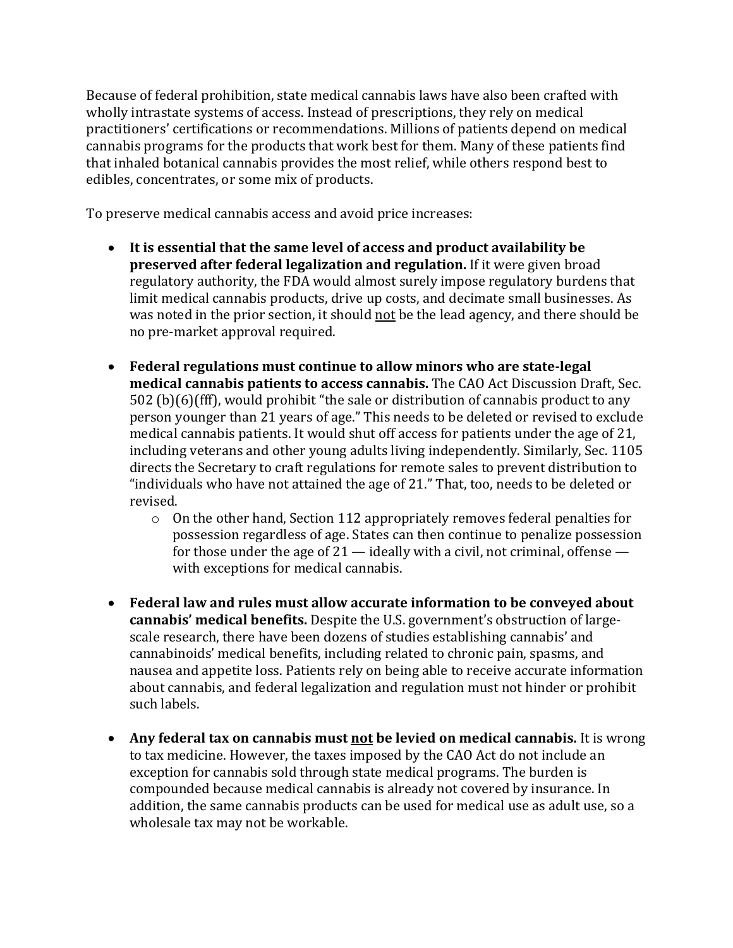Because of federal prohibition, state medical cannabis laws have also been crafted with wholly intrastate systems of access. Instead of prescriptions, they rely on medical practitioners' certifications or recommendations. Millions of patients depend on medical cannabis programs for the products that work best for them. Many of these patients find that inhaled botanical cannabis provides the most relief, while others respond best to edibles, concentrates, or some mix of products.

To preserve medical cannabis access and avoid price increases:

- It is essential that the same level of access and product availability be **preserved after federal legalization and regulation.** If it were given broad regulatory authority, the FDA would almost surely impose regulatory burdens that limit medical cannabis products, drive up costs, and decimate small businesses. As was noted in the prior section, it should not be the lead agency, and there should be no pre-market approval required.
- Federal regulations must continue to allow minors who are state-legal **medical cannabis patients to access cannabis.** The CAO Act Discussion Draft, Sec.  $502$  (b)(6)(fff), would prohibit "the sale or distribution of cannabis product to any person younger than 21 years of age." This needs to be deleted or revised to exclude medical cannabis patients. It would shut off access for patients under the age of 21, including veterans and other young adults living independently. Similarly, Sec. 1105 directs the Secretary to craft regulations for remote sales to prevent distribution to "individuals who have not attained the age of 21." That, too, needs to be deleted or revised.
	- $\circ$  On the other hand, Section 112 appropriately removes federal penalties for possession regardless of age. States can then continue to penalize possession for those under the age of  $21$  — ideally with a civil, not criminal, offense with exceptions for medical cannabis.
- Federal law and rules must allow accurate information to be conveyed about cannabis' medical benefits. Despite the U.S. government's obstruction of largescale research, there have been dozens of studies establishing cannabis' and cannabinoids' medical benefits, including related to chronic pain, spasms, and nausea and appetite loss. Patients rely on being able to receive accurate information about cannabis, and federal legalization and regulation must not hinder or prohibit such labels.
- Any federal tax on cannabis must not be levied on medical cannabis. It is wrong to tax medicine. However, the taxes imposed by the CAO Act do not include an exception for cannabis sold through state medical programs. The burden is compounded because medical cannabis is already not covered by insurance. In addition, the same cannabis products can be used for medical use as adult use, so a wholesale tax may not be workable.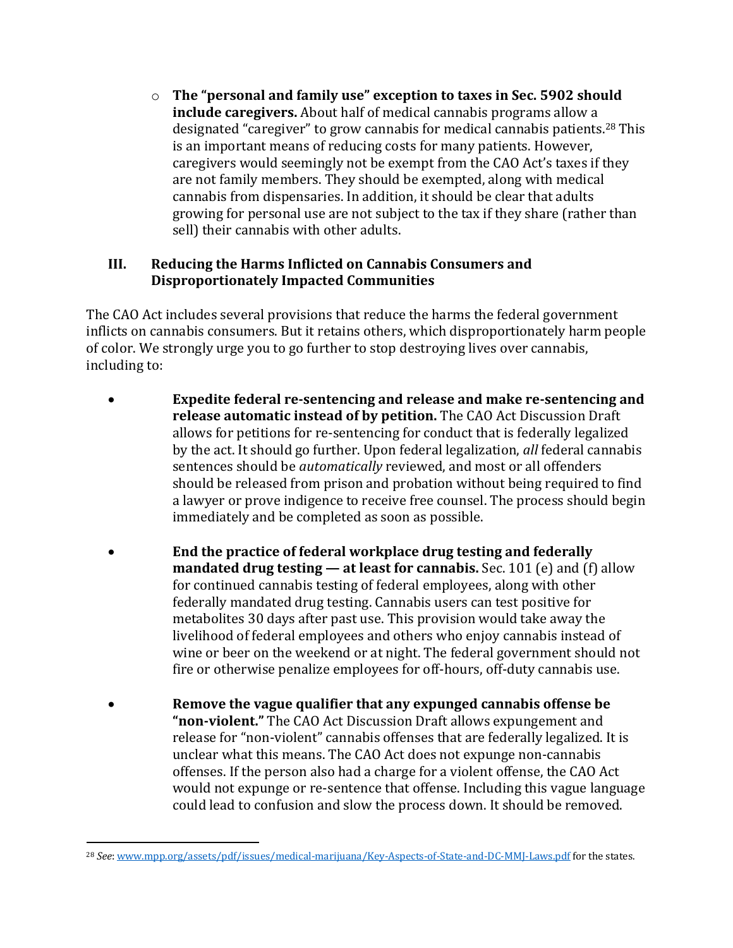$\circ$  The "personal and family use" exception to taxes in Sec. 5902 should **include caregivers.** About half of medical cannabis programs allow a designated "caregiver" to grow cannabis for medical cannabis patients.<sup>28</sup> This is an important means of reducing costs for many patients. However, caregivers would seemingly not be exempt from the CAO Act's taxes if they are not family members. They should be exempted, along with medical cannabis from dispensaries. In addition, it should be clear that adults growing for personal use are not subject to the tax if they share (rather than sell) their cannabis with other adults.

## **III.** Reducing the Harms Inflicted on Cannabis Consumers and **Disproportionately Impacted Communities**

The CAO Act includes several provisions that reduce the harms the federal government inflicts on cannabis consumers. But it retains others, which disproportionately harm people of color. We strongly urge you to go further to stop destroying lives over cannabis, including to:

- **Expedite federal re-sentencing and release and make re-sentencing and release automatic instead of by petition.** The CAO Act Discussion Draft allows for petitions for re-sentencing for conduct that is federally legalized by the act. It should go further. Upon federal legalization, *all* federal cannabis sentences should be *automatically* reviewed, and most or all offenders should be released from prison and probation without being required to find a lawyer or prove indigence to receive free counsel. The process should begin immediately and be completed as soon as possible.
- **End** the practice of federal workplace drug testing and federally **mandated drug testing — at least for cannabis.** Sec. 101 (e) and (f) allow for continued cannabis testing of federal employees, along with other federally mandated drug testing. Cannabis users can test positive for metabolites 30 days after past use. This provision would take away the livelihood of federal employees and others who enjoy cannabis instead of wine or beer on the weekend or at night. The federal government should not fire or otherwise penalize employees for off-hours, off-duty cannabis use.
- **Remove the vague qualifier that any expunged cannabis offense be** "**non-violent.**" The CAO Act Discussion Draft allows expungement and release for "non-violent" cannabis offenses that are federally legalized. It is unclear what this means. The CAO Act does not expunge non-cannabis offenses. If the person also had a charge for a violent offense, the CAO Act would not expunge or re-sentence that offense. Including this vague language could lead to confusion and slow the process down. It should be removed.

<sup>&</sup>lt;sup>28</sup> See: www.mpp.org/assets/pdf/issues/medical-marijuana/Key-Aspects-of-State-and-DC-MMJ-Laws.pdf for the states.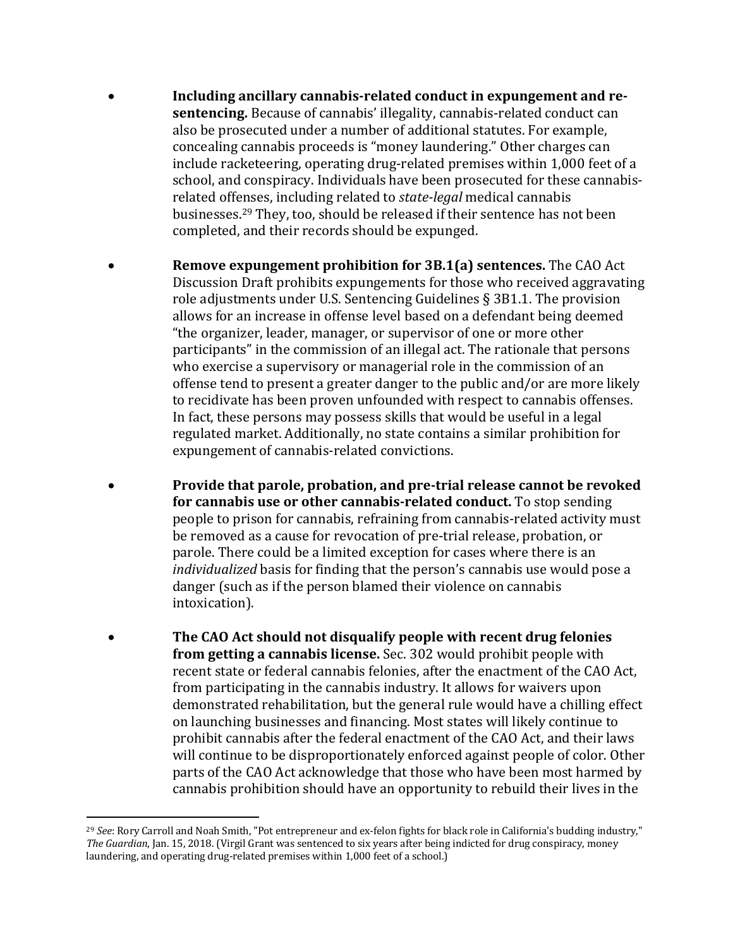- Including ancillary cannabis-related conduct in expungement and re**sentencing.** Because of cannabis' illegality, cannabis-related conduct can also be prosecuted under a number of additional statutes. For example, concealing cannabis proceeds is "money laundering." Other charges can include racketeering, operating drug-related premises within 1,000 feet of a school, and conspiracy. Individuals have been prosecuted for these cannabisrelated offenses, including related to *state-legal* medical cannabis businesses.<sup>29</sup> They, too, should be released if their sentence has not been completed, and their records should be expunged.
- **Remove expungement prohibition for 3B.1(a) sentences.** The CAO Act Discussion Draft prohibits expungements for those who received aggravating role adjustments under U.S. Sentencing Guidelines  $\S$  3B1.1. The provision allows for an increase in offense level based on a defendant being deemed "the organizer, leader, manager, or supervisor of one or more other participants" in the commission of an illegal act. The rationale that persons who exercise a supervisory or managerial role in the commission of an offense tend to present a greater danger to the public and/or are more likely to recidivate has been proven unfounded with respect to cannabis offenses. In fact, these persons may possess skills that would be useful in a legal regulated market. Additionally, no state contains a similar prohibition for expungement of cannabis-related convictions.
- **Provide that parole, probation, and pre-trial release cannot be revoked for cannabis use or other cannabis-related conduct.** To stop sending people to prison for cannabis, refraining from cannabis-related activity must be removed as a cause for revocation of pre-trial release, probation, or parole. There could be a limited exception for cases where there is an *individualized* basis for finding that the person's cannabis use would pose a danger (such as if the person blamed their violence on cannabis intoxication).
- The CAO Act should not disqualify people with recent drug felonies **from getting a cannabis license.** Sec. 302 would prohibit people with recent state or federal cannabis felonies, after the enactment of the CAO Act, from participating in the cannabis industry. It allows for waivers upon demonstrated rehabilitation, but the general rule would have a chilling effect on launching businesses and financing. Most states will likely continue to prohibit cannabis after the federal enactment of the CAO Act, and their laws will continue to be disproportionately enforced against people of color. Other parts of the CAO Act acknowledge that those who have been most harmed by cannabis prohibition should have an opportunity to rebuild their lives in the

<sup>&</sup>lt;sup>29</sup> See: Rory Carroll and Noah Smith, "Pot entrepreneur and ex-felon fights for black role in California's budding industry," The Guardian, Jan. 15, 2018. (Virgil Grant was sentenced to six years after being indicted for drug conspiracy, money laundering, and operating drug-related premises within 1,000 feet of a school.)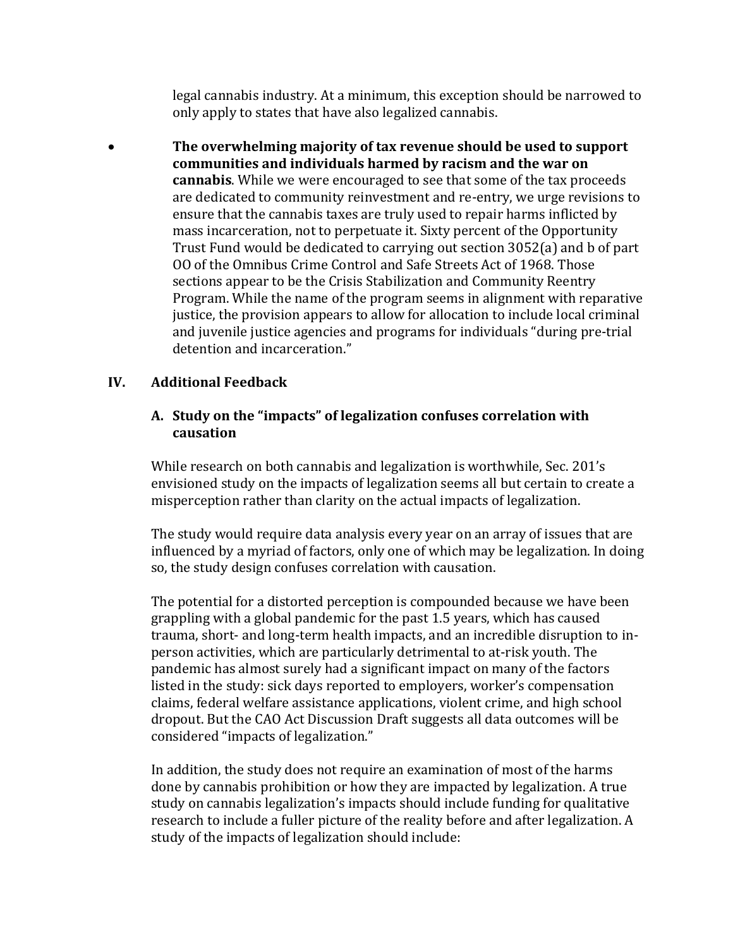legal cannabis industry. At a minimum, this exception should be narrowed to only apply to states that have also legalized cannabis.

• The overwhelming majority of tax revenue should be used to support communities and individuals harmed by racism and the war on cannabis. While we were encouraged to see that some of the tax proceeds are dedicated to community reinvestment and re-entry, we urge revisions to ensure that the cannabis taxes are truly used to repair harms inflicted by mass incarceration, not to perpetuate it. Sixty percent of the Opportunity Trust Fund would be dedicated to carrying out section  $3052(a)$  and b of part 00 of the Omnibus Crime Control and Safe Streets Act of 1968. Those sections appear to be the Crisis Stabilization and Community Reentry Program. While the name of the program seems in alignment with reparative justice, the provision appears to allow for allocation to include local criminal and juvenile justice agencies and programs for individuals "during pre-trial detention and incarceration."

# **IV. Additional Feedback**

## A. Study on the "impacts" of legalization confuses correlation with **causation**

While research on both cannabis and legalization is worthwhile, Sec. 201's envisioned study on the impacts of legalization seems all but certain to create a misperception rather than clarity on the actual impacts of legalization.

The study would require data analysis every year on an array of issues that are influenced by a myriad of factors, only one of which may be legalization. In doing so, the study design confuses correlation with causation.

The potential for a distorted perception is compounded because we have been grappling with a global pandemic for the past 1.5 years, which has caused trauma, short- and long-term health impacts, and an incredible disruption to inperson activities, which are particularly detrimental to at-risk youth. The pandemic has almost surely had a significant impact on many of the factors listed in the study: sick days reported to employers, worker's compensation claims, federal welfare assistance applications, violent crime, and high school dropout. But the CAO Act Discussion Draft suggests all data outcomes will be considered "impacts of legalization."

In addition, the study does not require an examination of most of the harms done by cannabis prohibition or how they are impacted by legalization. A true study on cannabis legalization's impacts should include funding for qualitative research to include a fuller picture of the reality before and after legalization. A study of the impacts of legalization should include: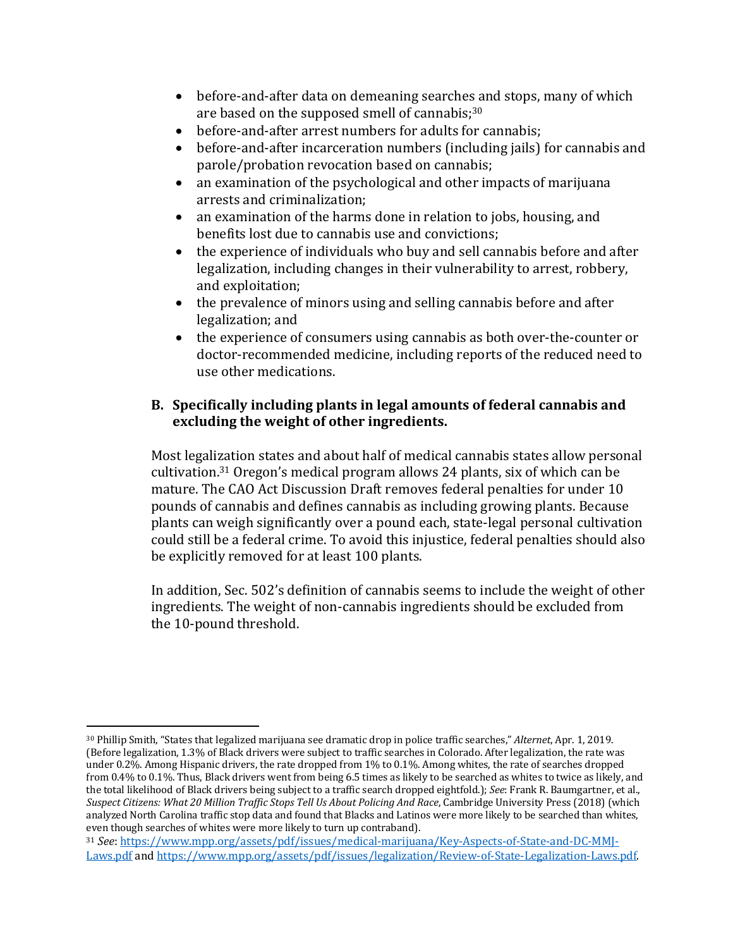- before-and-after data on demeaning searches and stops, many of which are based on the supposed smell of cannabis; $30$
- before-and-after arrest numbers for adults for cannabis;
- before-and-after incarceration numbers (including jails) for cannabis and parole/probation revocation based on cannabis;
- an examination of the psychological and other impacts of marijuana arrests and criminalization;
- an examination of the harms done in relation to jobs, housing, and benefits lost due to cannabis use and convictions;
- the experience of individuals who buy and sell cannabis before and after legalization, including changes in their vulnerability to arrest, robbery, and exploitation;
- $\bullet$  the prevalence of minors using and selling cannabis before and after legalization; and
- $\bullet$  the experience of consumers using cannabis as both over-the-counter or doctor-recommended medicine, including reports of the reduced need to use other medications.

# **B.** Specifically including plants in legal amounts of federal cannabis and excluding the weight of other ingredients.

Most legalization states and about half of medical cannabis states allow personal cultivation.<sup>31</sup> Oregon's medical program allows 24 plants, six of which can be mature. The CAO Act Discussion Draft removes federal penalties for under 10 pounds of cannabis and defines cannabis as including growing plants. Because plants can weigh significantly over a pound each, state-legal personal cultivation could still be a federal crime. To avoid this injustice, federal penalties should also be explicitly removed for at least 100 plants.

In addition, Sec. 502's definition of cannabis seems to include the weight of other ingredients. The weight of non-cannabis ingredients should be excluded from the 10-pound threshold.

<sup>30</sup> Phillip Smith, "States that legalized marijuana see dramatic drop in police traffic searches," *Alternet*, Apr. 1, 2019. (Before legalization, 1.3% of Black drivers were subject to traffic searches in Colorado. After legalization, the rate was under 0.2%. Among Hispanic drivers, the rate dropped from 1% to 0.1%. Among whites, the rate of searches dropped from 0.4% to 0.1%. Thus, Black drivers went from being 6.5 times as likely to be searched as whites to twice as likely, and the total likelihood of Black drivers being subject to a traffic search dropped eightfold.); *See*: Frank R. Baumgartner, et al., *Suspect Citizens: What 20 Million Traffic Stops Tell Us About Policing And Race, Cambridge University Press (2018)* (which analyzed North Carolina traffic stop data and found that Blacks and Latinos were more likely to be searched than whites, even though searches of whites were more likely to turn up contraband).

<sup>31</sup> See: https://www.mpp.org/assets/pdf/issues/medical-marijuana/Key-Aspects-of-State-and-DC-MMJ-Laws.pdf and https://www.mpp.org/assets/pdf/issues/legalization/Review-of-State-Legalization-Laws.pdf.